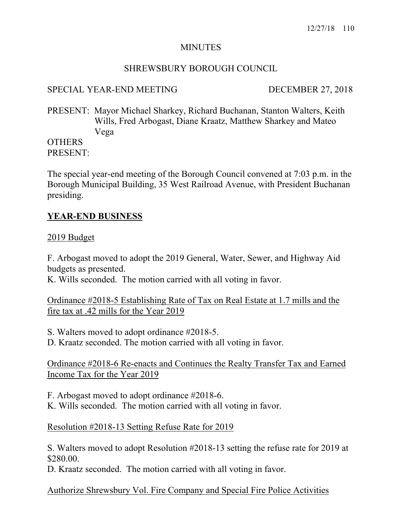## MINUTES

## SHREWSBURY BOROUGH COUNCIL

## SPECIAL YEAR-END MEETING DECEMBER 27, 2018

PRESENT: Mayor Michael Sharkey, Richard Buchanan, Stanton Walters, Keith Wills, Fred Arbogast, Diane Kraatz, Matthew Sharkey and Mateo Vega

## **OTHERS** PRESENT:

The special year-end meeting of the Borough Council convened at 7:03 p.m. in the Borough Municipal Building, 35 West Railroad Avenue, with President Buchanan presiding.

# **YEAR-END BUSINESS**

#### 2019 Budget

F. Arbogast moved to adopt the 2019 General, Water, Sewer, and Highway Aid budgets as presented.

K. Wills seconded. The motion carried with all voting in favor.

Ordinance #2018-5 Establishing Rate of Tax on Real Estate at 1.7 mills and the fire tax at .42 mills for the Year 2019

S. Walters moved to adopt ordinance #2018-5.

D. Kraatz seconded. The motion carried with all voting in favor.

Ordinance #2018-6 Re-enacts and Continues the Realty Transfer Tax and Earned Income Tax for the Year 2019

F. Arbogast moved to adopt ordinance #2018-6.

K. Wills seconded. The motion carried with all voting in favor.

## Resolution #2018-13 Setting Refuse Rate for 2019

S. Walters moved to adopt Resolution #2018-13 setting the refuse rate for 2019 at \$280.00.

D. Kraatz seconded. The motion carried with all voting in favor.

#### Authorize Shrewsbury Vol. Fire Company and Special Fire Police Activities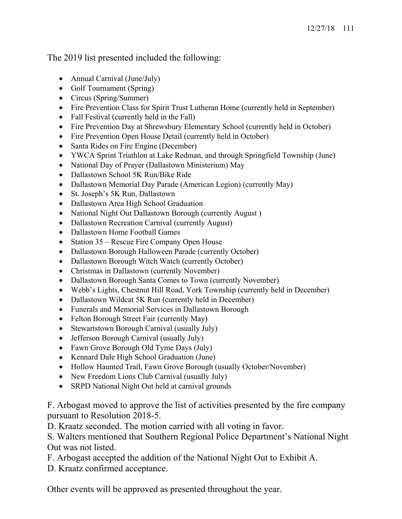The 2019 list presented included the following:

- Annual Carnival (June/July)
- Golf Tournament (Spring)
- Circus (Spring/Summer)
- Fire Prevention Class for Spirit Trust Lutheran Home (currently held in September)
- Fall Festival (currently held in the Fall)
- Fire Prevention Day at Shrewsbury Elementary School (currently held in October)
- Fire Prevention Open House Detail (currently held in October)
- Santa Rides on Fire Engine (December)
- YWCA Sprint Triathlon at Lake Redman, and through Springfield Township (June)
- National Day of Prayer (Dallastown Ministerium) May
- Dallastown School 5K Run/Bike Ride
- Dallastown Memorial Day Parade (American Legion) (currently May)
- St. Joseph's 5K Run, Dallastown
- Dallastown Area High School Graduation
- National Night Out Dallastown Borough (currently August)
- Dallastown Recreation Carnival (currently August)
- Dallastown Home Football Games
- Station 35 Rescue Fire Company Open House
- Dallastown Borough Halloween Parade (currently October)
- Dallastown Borough Witch Watch (currently October)
- Christmas in Dallastown (currently November)
- Dallastown Borough Santa Comes to Town (currently November)
- Webb's Lights, Chestnut Hill Road, York Township (currently held in December)
- Dallastown Wildcat 5K Run (currently held in December)
- Funerals and Memorial Services in Dallastown Borough
- Felton Borough Street Fair (currently May)
- Stewartstown Borough Carnival (usually July)
- Jefferson Borough Carnival (usually July)
- Fawn Grove Borough Old Tyme Days (July)
- Kennard Dale High School Graduation (June)
- Hollow Haunted Trail, Fawn Grove Borough (usually October/November)
- New Freedom Lions Club Carnival (usually July)
- SRPD National Night Out held at carnival grounds

F. Arbogast moved to approve the list of activities presented by the fire company pursuant to Resolution 2018-5.

D. Kraatz seconded. The motion carried with all voting in favor.

S. Walters mentioned that Southern Regional Police Department's National Night Out was not listed.

F. Arbogast accepted the addition of the National Night Out to Exhibit A.

D. Kraatz confirmed acceptance.

Other events will be approved as presented throughout the year.